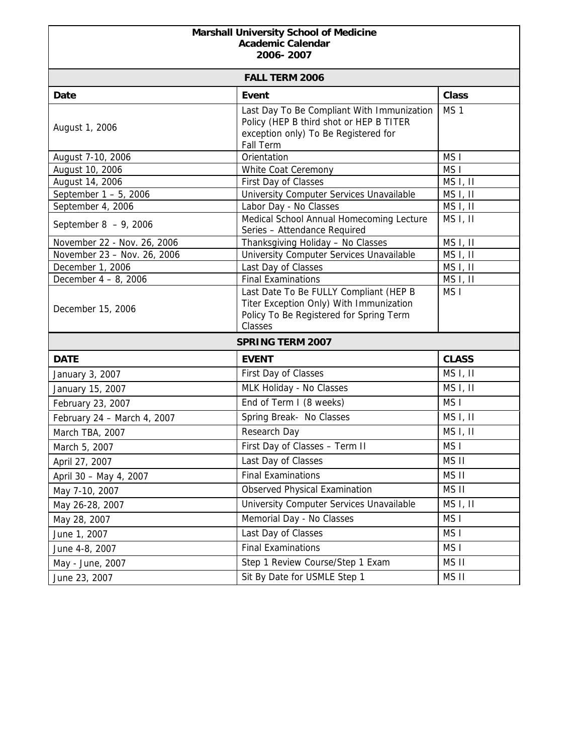## **Marshall University School of Medicine Academic Calendar 2006- 2007**

| <b>FALL TERM 2006</b>       |                                                                                                                                            |                      |  |
|-----------------------------|--------------------------------------------------------------------------------------------------------------------------------------------|----------------------|--|
| Date                        | <b>Event</b>                                                                                                                               | <b>Class</b>         |  |
| August 1, 2006              | Last Day To Be Compliant With Immunization<br>Policy (HEP B third shot or HEP B TITER<br>exception only) To Be Registered for<br>Fall Term | MS <sub>1</sub>      |  |
| August 7-10, 2006           | Orientation                                                                                                                                | MS <sub>I</sub>      |  |
| August 10, 2006             | White Coat Ceremony                                                                                                                        | MS <sub>I</sub>      |  |
| August 14, 2006             | First Day of Classes                                                                                                                       | MS I, II             |  |
| September $1 - 5$ , 2006    | University Computer Services Unavailable                                                                                                   | MS I, II             |  |
| September 4, 2006           | Labor Day - No Classes                                                                                                                     | MS <sub>I</sub> , II |  |
| September $8 - 9$ , 2006    | Medical School Annual Homecoming Lecture<br>Series - Attendance Required                                                                   | MS <sub>I</sub> , II |  |
| November 22 - Nov. 26, 2006 | Thanksgiving Holiday - No Classes                                                                                                          | MS I, II             |  |
| November 23 - Nov. 26, 2006 | University Computer Services Unavailable                                                                                                   | MS I, II             |  |
| December 1, 2006            | Last Day of Classes                                                                                                                        | MS I, II             |  |
| December 4 - 8, 2006        | <b>Final Examinations</b>                                                                                                                  | MS I, II             |  |
| December 15, 2006           | Last Date To Be FULLY Compliant (HEP B<br>Titer Exception Only) With Immunization<br>Policy To Be Registered for Spring Term<br>Classes    | MS <sub>I</sub>      |  |
| <b>SPRING TERM 2007</b>     |                                                                                                                                            |                      |  |
| <b>DATE</b>                 | <b>EVENT</b>                                                                                                                               | <b>CLASS</b>         |  |
| January 3, 2007             | First Day of Classes                                                                                                                       | MS I, II             |  |
| January 15, 2007            | MLK Holiday - No Classes                                                                                                                   | MS <sub>I</sub> , II |  |
| February 23, 2007           | End of Term I (8 weeks)                                                                                                                    | MS <sub>I</sub>      |  |
| February 24 - March 4, 2007 | Spring Break- No Classes                                                                                                                   | MS I, II             |  |
| March TBA, 2007             | Research Day                                                                                                                               | MS I, II             |  |
| March 5, 2007               | First Day of Classes - Term II                                                                                                             | MS <sub>I</sub>      |  |
| April 27, 2007              | Last Day of Classes                                                                                                                        | MS II                |  |
| April 30 - May 4, 2007      | <b>Final Examinations</b>                                                                                                                  | MS II                |  |
| May 7-10, 2007              | <b>Observed Physical Examination</b>                                                                                                       | MS II                |  |
| May 26-28, 2007             | University Computer Services Unavailable                                                                                                   | MS I, II             |  |
| May 28, 2007                | Memorial Day - No Classes                                                                                                                  | MS I                 |  |
| June 1, 2007                | Last Day of Classes                                                                                                                        | MS I                 |  |
| June 4-8, 2007              | <b>Final Examinations</b>                                                                                                                  | MS I                 |  |
| May - June, 2007            | Step 1 Review Course/Step 1 Exam                                                                                                           | MS II                |  |
| June 23, 2007               | Sit By Date for USMLE Step 1                                                                                                               | MS II                |  |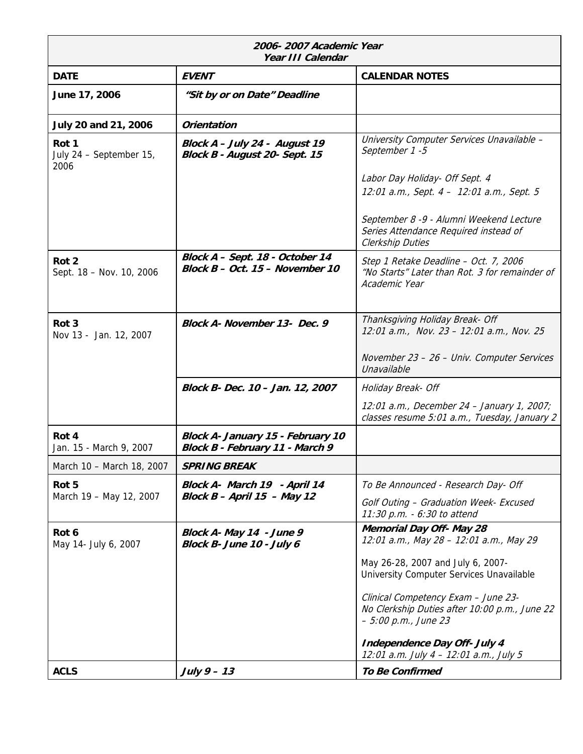| 2006-2007 Academic Year<br>Year III Calendar |                                                                      |                                                                                                                                                                 |
|----------------------------------------------|----------------------------------------------------------------------|-----------------------------------------------------------------------------------------------------------------------------------------------------------------|
| <b>DATE</b>                                  | <b>EVENT</b>                                                         | <b>CALENDAR NOTES</b>                                                                                                                                           |
| June 17, 2006                                | "Sit by or on Date" Deadline                                         |                                                                                                                                                                 |
| July 20 and 21, 2006                         | <b>Orientation</b>                                                   |                                                                                                                                                                 |
| Rot 1<br>July 24 - September 15,<br>2006     | Block A - July 24 - August 19<br>Block B - August 20- Sept. 15       | University Computer Services Unavailable -<br>September 1-5                                                                                                     |
|                                              |                                                                      | Labor Day Holiday- Off Sept. 4<br>12:01 a.m., Sept. 4 - 12:01 a.m., Sept. 5<br>September 8 -9 - Alumni Weekend Lecture<br>Series Attendance Required instead of |
|                                              |                                                                      | Clerkship Duties                                                                                                                                                |
| Rot <sub>2</sub><br>Sept. 18 - Nov. 10, 2006 | Block A - Sept. 18 - October 14<br>Block $B - Oct.$ 15 - November 10 | Step 1 Retake Deadline - Oct. 7, 2006<br>"No Starts" Later than Rot. 3 for remainder of<br>Academic Year                                                        |
| Rot <sub>3</sub><br>Nov 13 - Jan. 12, 2007   | Block A- November 13- Dec. 9                                         | Thanksgiving Holiday Break- Off<br>12:01 a.m., Nov. 23 - 12:01 a.m., Nov. 25                                                                                    |
|                                              |                                                                      | November 23 - 26 - Univ. Computer Services<br>Unavailable                                                                                                       |
|                                              | Block B- Dec. 10 - Jan. 12, 2007                                     | Holiday Break- Off                                                                                                                                              |
|                                              |                                                                      | 12:01 a.m., December 24 - January 1, 2007;<br>classes resume 5:01 a.m., Tuesday, January 2                                                                      |
| Rot 4<br>Jan. 15 - March 9, 2007             | Block A- January 15 - February 10<br>Block B - February 11 - March 9 |                                                                                                                                                                 |
| March 10 - March 18, 2007                    | <b>SPRING BREAK</b>                                                  |                                                                                                                                                                 |
| Rot 5<br>March 19 - May 12, 2007             | Block A- March 19 - April 14                                         | To Be Announced - Research Day- Off                                                                                                                             |
|                                              | Block $B -$ April 15 - May 12                                        | Golf Outing - Graduation Week- Excused<br>11:30 p.m. - 6:30 to attend                                                                                           |
| Rot 6<br>May 14- July 6, 2007                | Block A- May 14 - June 9<br>Block B- June 10 - July 6                | <b>Memorial Day Off- May 28</b><br>12:01 a.m., May 28 - 12:01 a.m., May 29                                                                                      |
|                                              |                                                                      | May 26-28, 2007 and July 6, 2007-<br>University Computer Services Unavailable                                                                                   |
|                                              |                                                                      | Clinical Competency Exam - June 23-<br>No Clerkship Duties after 10:00 p.m., June 22<br>$-5.00$ p.m., June 23                                                   |
|                                              |                                                                      | <b>Independence Day Off- July 4</b><br>12:01 a.m. July 4 - 12:01 a.m., July 5                                                                                   |
| <b>ACLS</b>                                  | July $9 - 13$                                                        | <b>To Be Confirmed</b>                                                                                                                                          |